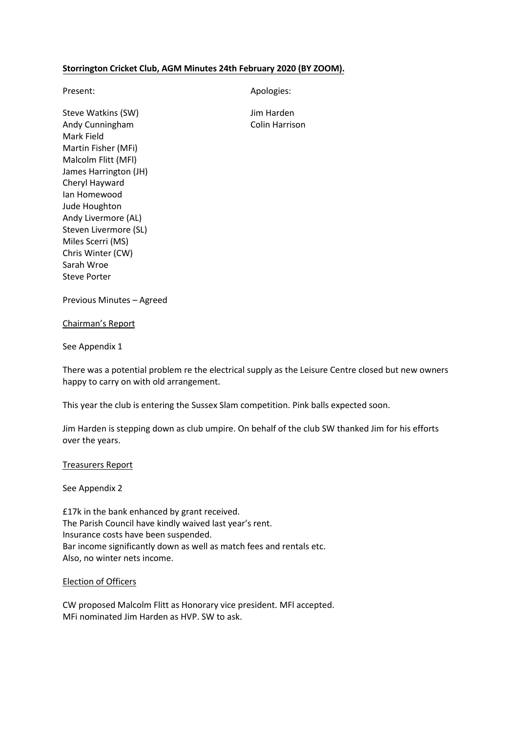### **Storrington Cricket Club, AGM Minutes 24th February 2020 (BY ZOOM).**

Present: Apologies: Apologies:

Steve Watkins (SW) Steve Watkins (SW) Andy Cunningham Colin Harrison Mark Field Martin Fisher (MFi) Malcolm Flitt (MFl) James Harrington (JH) Cheryl Hayward Ian Homewood Jude Houghton Andy Livermore (AL) Steven Livermore (SL) Miles Scerri (MS) Chris Winter (CW) Sarah Wroe Steve Porter

Previous Minutes – Agreed

Chairman's Report

See Appendix 1

There was a potential problem re the electrical supply as the Leisure Centre closed but new owners happy to carry on with old arrangement.

This year the club is entering the Sussex Slam competition. Pink balls expected soon.

Jim Harden is stepping down as club umpire. On behalf of the club SW thanked Jim for his efforts over the years.

#### Treasurers Report

See Appendix 2

£17k in the bank enhanced by grant received. The Parish Council have kindly waived last year's rent. Insurance costs have been suspended. Bar income significantly down as well as match fees and rentals etc. Also, no winter nets income.

#### Election of Officers

CW proposed Malcolm Flitt as Honorary vice president. MFl accepted. MFi nominated Jim Harden as HVP. SW to ask.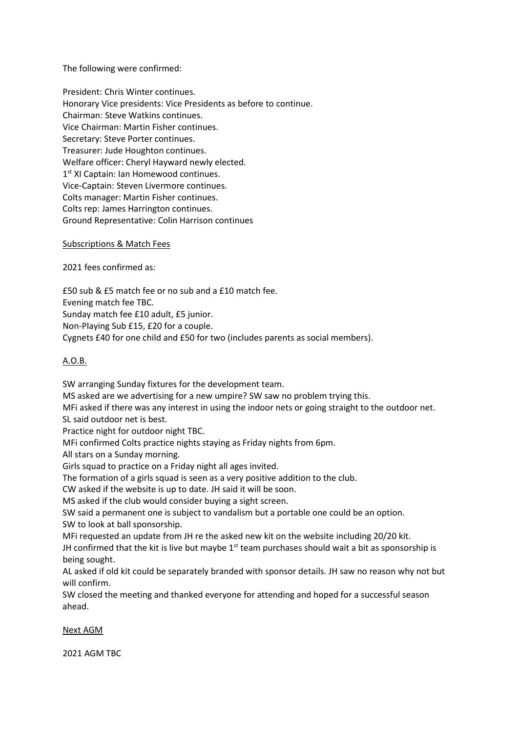The following were confirmed:

President: Chris Winter continues. Honorary Vice presidents: Vice Presidents as before to continue. Chairman: Steve Watkins continues. Vice Chairman: Martin Fisher continues. Secretary: Steve Porter continues. Treasurer: Jude Houghton continues. Welfare officer: Cheryl Hayward newly elected. 1<sup>st</sup> XI Captain: Ian Homewood continues. Vice-Captain: Steven Livermore continues. Colts manager: Martin Fisher continues. Colts rep: James Harrington continues. Ground Representative: Colin Harrison continues

Subscriptions & Match Fees

2021 fees confirmed as:

£50 sub & £5 match fee or no sub and a £10 match fee. Evening match fee TBC. Sunday match fee £10 adult, £5 junior. Non-Playing Sub £15, £20 for a couple. Cygnets £40 for one child and £50 for two (includes parents as social members).

## A.O.B.

SW arranging Sunday fixtures for the development team.

MS asked are we advertising for a new umpire? SW saw no problem trying this.

MFi asked if there was any interest in using the indoor nets or going straight to the outdoor net.

SL said outdoor net is best.

Practice night for outdoor night TBC.

MFi confirmed Colts practice nights staying as Friday nights from 6pm.

All stars on a Sunday morning.

Girls squad to practice on a Friday night all ages invited.

The formation of a girls squad is seen as a very positive addition to the club.

CW asked if the website is up to date. JH said it will be soon.

MS asked if the club would consider buying a sight screen.

SW said a permanent one is subject to vandalism but a portable one could be an option. SW to look at ball sponsorship.

MFi requested an update from JH re the asked new kit on the website including 20/20 kit.

JH confirmed that the kit is live but maybe  $1<sup>st</sup>$  team purchases should wait a bit as sponsorship is being sought.

AL asked if old kit could be separately branded with sponsor details. JH saw no reason why not but will confirm.

SW closed the meeting and thanked everyone for attending and hoped for a successful season ahead.

Next AGM

2021 AGM TBC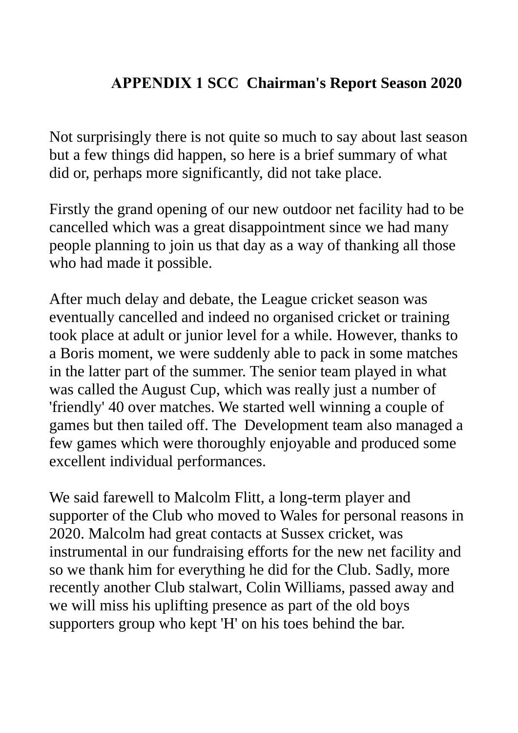# **APPENDIX 1 SCC Chairman's Report Season 2020**

Not surprisingly there is not quite so much to say about last season but a few things did happen, so here is a brief summary of what did or, perhaps more significantly, did not take place.

Firstly the grand opening of our new outdoor net facility had to be cancelled which was a great disappointment since we had many people planning to join us that day as a way of thanking all those who had made it possible.

After much delay and debate, the League cricket season was eventually cancelled and indeed no organised cricket or training took place at adult or junior level for a while. However, thanks to a Boris moment, we were suddenly able to pack in some matches in the latter part of the summer. The senior team played in what was called the August Cup, which was really just a number of 'friendly' 40 over matches. We started well winning a couple of games but then tailed off. The Development team also managed a few games which were thoroughly enjoyable and produced some excellent individual performances.

We said farewell to Malcolm Flitt, a long-term player and supporter of the Club who moved to Wales for personal reasons in 2020. Malcolm had great contacts at Sussex cricket, was instrumental in our fundraising efforts for the new net facility and so we thank him for everything he did for the Club. Sadly, more recently another Club stalwart, Colin Williams, passed away and we will miss his uplifting presence as part of the old boys supporters group who kept 'H' on his toes behind the bar.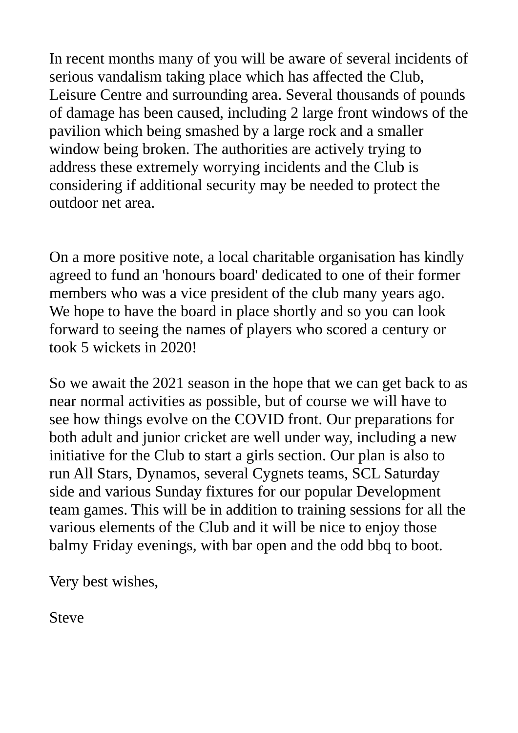In recent months many of you will be aware of several incidents of serious vandalism taking place which has affected the Club, Leisure Centre and surrounding area. Several thousands of pounds of damage has been caused, including 2 large front windows of the pavilion which being smashed by a large rock and a smaller window being broken. The authorities are actively trying to address these extremely worrying incidents and the Club is considering if additional security may be needed to protect the outdoor net area.

On a more positive note, a local charitable organisation has kindly agreed to fund an 'honours board' dedicated to one of their former members who was a vice president of the club many years ago. We hope to have the board in place shortly and so you can look forward to seeing the names of players who scored a century or took 5 wickets in 2020!

So we await the 2021 season in the hope that we can get back to as near normal activities as possible, but of course we will have to see how things evolve on the COVID front. Our preparations for both adult and junior cricket are well under way, including a new initiative for the Club to start a girls section. Our plan is also to run All Stars, Dynamos, several Cygnets teams, SCL Saturday side and various Sunday fixtures for our popular Development team games. This will be in addition to training sessions for all the various elements of the Club and it will be nice to enjoy those balmy Friday evenings, with bar open and the odd bbq to boot.

Very best wishes,

Steve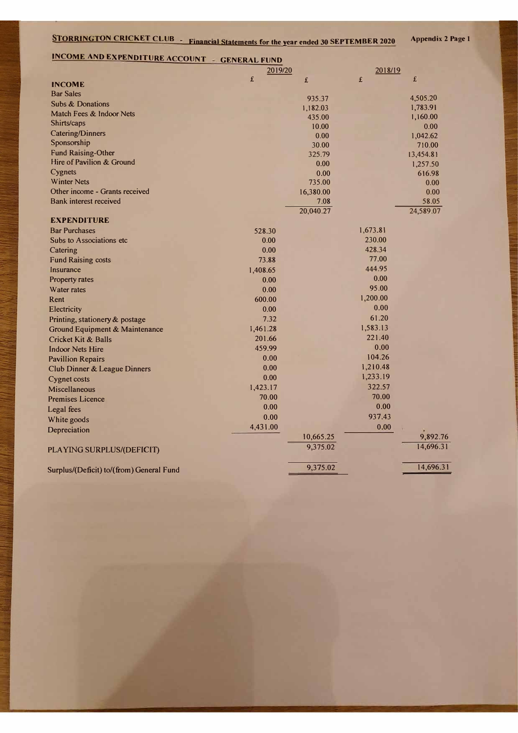| <b>STORRINGTON CRICKET CLUB - Financial Statements for the year ended 30 SEPTEMBER 2020</b> |          |               |          |                    |  |
|---------------------------------------------------------------------------------------------|----------|---------------|----------|--------------------|--|
| <b>INCOME AND EXPENDITURE ACCOUNT - GENERAL FUND</b>                                        |          |               |          |                    |  |
|                                                                                             | 2019/20  |               | 2018/19  |                    |  |
| <b>INCOME</b>                                                                               | £        | £             | £        | £                  |  |
| <b>Bar Sales</b>                                                                            |          |               |          |                    |  |
| <b>Subs &amp; Donations</b>                                                                 |          | 935.37        |          | 4,505.20           |  |
| Match Fees & Indoor Nets                                                                    |          | 1,182.03      |          | 1,783.91           |  |
| Shirts/caps                                                                                 |          | 435.00        |          | 1,160.00           |  |
| <b>Catering/Dinners</b>                                                                     |          | 10.00<br>0.00 |          | 0.00               |  |
| Sponsorship                                                                                 |          | 30.00         |          | 1,042.62<br>710.00 |  |
| <b>Fund Raising-Other</b>                                                                   |          | 325.79        |          | 13,454.81          |  |
| Hire of Pavilion & Ground                                                                   |          | 0.00          |          | 1,257.50           |  |
| Cygnets                                                                                     |          | 0.00          |          | 616.98             |  |
| <b>Winter Nets</b>                                                                          |          | 735.00        |          | 0.00               |  |
| Other income - Grants received                                                              |          | 16,380.00     |          | 0.00               |  |
| <b>Bank interest received</b>                                                               |          | 7.08          |          | 58.05              |  |
|                                                                                             |          | 20,040.27     |          | 24,589.07          |  |
| <b>EXPENDITURE</b>                                                                          |          |               |          |                    |  |
| <b>Bar Purchases</b>                                                                        | 528.30   |               | 1,673.81 |                    |  |
| Subs to Associations etc                                                                    | 0.00     |               | 230.00   |                    |  |
| Catering                                                                                    | 0.00     |               | 428.34   |                    |  |
| <b>Fund Raising costs</b>                                                                   | 73.88    |               | 77.00    |                    |  |
| Insurance                                                                                   | 1,408.65 |               | 444.95   |                    |  |
| <b>Property rates</b>                                                                       | 0.00     |               | 0.00     |                    |  |
| <b>Water rates</b>                                                                          | 0.00     |               | 95.00    |                    |  |
| Rent                                                                                        | 600.00   |               | 1,200.00 |                    |  |
| Electricity                                                                                 | 0.00     |               | 0.00     |                    |  |
| Printing, stationery & postage                                                              | 7.32     |               | 61.20    |                    |  |
| Ground Equipment & Maintenance                                                              | 1,461.28 |               | 1,583.13 |                    |  |
| <b>Cricket Kit &amp; Balls</b>                                                              | 201.66   |               | 221.40   |                    |  |
| <b>Indoor Nets Hire</b>                                                                     | 459.99   |               | 0.00     |                    |  |
| <b>Pavillion Repairs</b>                                                                    | 0.00     |               | 104.26   |                    |  |
| Club Dinner & League Dinners                                                                | 0.00     |               | 1,210.48 |                    |  |
| <b>Cygnet costs</b>                                                                         | 0.00     |               | 1,233.19 |                    |  |
| <b>Miscellaneous</b>                                                                        | 1,423.17 |               | 322.57   |                    |  |
| <b>Premises Licence</b>                                                                     | 70.00    |               | 70.00    |                    |  |
| Legal fees                                                                                  | 0.00     |               | 0.00     |                    |  |
| White goods                                                                                 | 0.00     |               | 937.43   |                    |  |
| Depreciation                                                                                | 4,431.00 |               | 0.00     |                    |  |
|                                                                                             |          | 10,665.25     |          | 9,892.76           |  |
| PLAYING SURPLUS/(DEFICIT)                                                                   |          | 9,375.02      |          | 14,696.31          |  |

Surplus/(Deficit) to/(from) General Fund 9,375.02 14,696.31